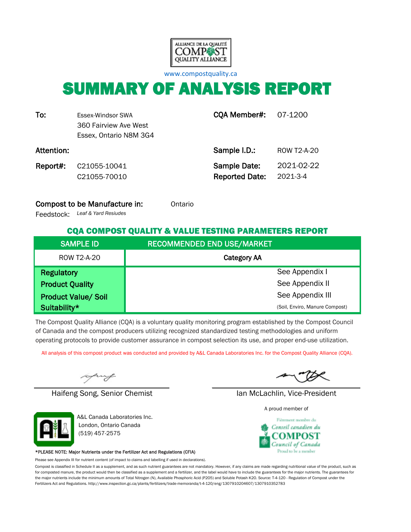

[w](http://www.compostquality.ca/)ww.compostquality.ca

# SUMMARY OF ANALYSIS REPORT

| To:        | Essex-Windsor SWA<br>360 Fairview Ave West<br>Essex, Ontario N8M 3G4 | <b>CQA Member#: 07-1200</b>           |                        |
|------------|----------------------------------------------------------------------|---------------------------------------|------------------------|
| Attention: |                                                                      | Sample I.D.:                          | ROW T2-A-20            |
| Report#:   | C21055-10041<br>C21055-70010                                         | Sample Date:<br><b>Reported Date:</b> | 2021-02-22<br>2021-3-4 |

#### Compost to be Manufacture in: Ontario

*Leaf & Yard Resiudes* Feedstock:

#### CQA COMPOST QUALITY & VALUE TESTING PARAMETERS REPORT

| <b>SAMPLE ID</b>           | <b>RECOMMENDED END USE/MARKET</b> |
|----------------------------|-----------------------------------|
| <b>ROW T2-A-20</b>         | <b>Category AA</b>                |
| <b>Regulatory</b>          | See Appendix I                    |
| <b>Product Quality</b>     | See Appendix II                   |
| <b>Product Value/ Soil</b> | See Appendix III                  |
| Suitability*               | (Soil, Enviro, Manure Compost)    |

The Compost Quality Alliance (CQA) is a voluntary quality monitoring program established by the Compost Council of Canada and the compost producers utilizing recognized standardized testing methodologies and uniform operating protocols to provide customer assurance in compost selection its use, and proper end-use utilization.

All analysis of this compost product was conducted and provided by A&L Canada Laboratories Inc. for the Compost Quality Alliance (CQA).

uy

Haifeng Song, Senior Chemist Ian McLachlin, Vice-President



A&L Canada Laboratories Inc. London, Ontario Canada (519) 457-2575

#### \*PLEASE NOTE: Major Nutrients under the Fertilizer Act and Regulations (CFIA)

Please see Appendix III for nutrient content (of impact to claims and labelling if used in declarations).

Compost is classified in Schedule II as a supplement, and as such nutrient guarantees are not mandatory. However, if any claims are made regarding nutritional value of the product, such as for composted manure, the product would then be classified as a supplement and a fertilizer, and the label would have to include the guarantees for the major nutrients. The guarantees for the major nutrients include the minimum amounts of Total Nitrogen (N), Available Phosphoric Acid (P2O5) and Soluble Potash K2O. Source: T-4-120 - Regulation of Compost under the Fertilizers Act and Regulations. http://www.inspection.gc.ca/plants/fertilizers/trade-memoranda/t-4-120/eng/1307910204607/1307910352783

A proud member of

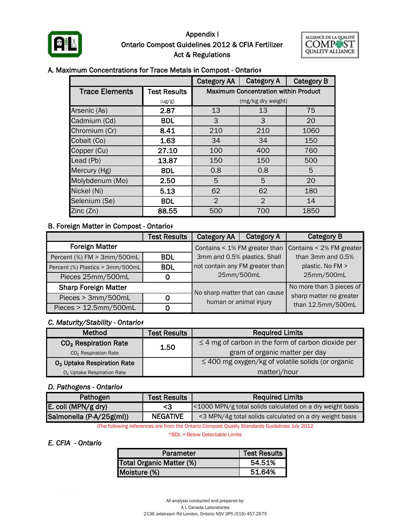

#### Ontario Compost Guidelines 2012 & CFIA Fertilizer Act & Regulations Appendix I



#### A. Maximum Concentrations for Trace Metals in Compost - Ontario<sup>+</sup>

|                       |                     | <b>Category AA</b> | <b>Category A</b>                           | <b>Category B</b> |
|-----------------------|---------------------|--------------------|---------------------------------------------|-------------------|
| <b>Trace Elements</b> | <b>Test Results</b> |                    | <b>Maximum Concentration within Product</b> |                   |
|                       | (ug/g)              |                    | (mg/kg dry weight)                          |                   |
| Arsenic (As)          | 2.87                | 13                 | 13                                          | 75                |
| Cadmium (Cd)          | <b>BDL</b>          | 3                  | 20                                          |                   |
| Chromium (Cr)         | 8.41                | 210                | 210                                         | 1060              |
| Cobalt (Co)           | 1.63                | 34                 | 34                                          | 150               |
| Copper (Cu)           | 27.10               | 100                | 400                                         | 760               |
| Lead (Pb)             | 13.87               | 150                | 150                                         | 500               |
| Mercury (Hg)          | <b>BDL</b>          | 0.8                | 0.8                                         | 5                 |
| Molybdenum (Mo)       | 2.50                | 5                  | 5                                           | 20                |
| Nickel (Ni)           | 5.13                | 62                 | 62                                          | 180               |
| Selenium (Se)         | <b>BDL</b>          | $\overline{2}$     | $\overline{2}$                              | 14                |
| Zinc(Zn)              | 88.55               | 500                | 700                                         | 1850              |

#### **B. Foreign Matter in Compost - Ontario**

|                                  | <b>Test Results</b> | <b>Category AA</b>              | <b>Category A</b>                                        | <b>Category B</b>        |  |
|----------------------------------|---------------------|---------------------------------|----------------------------------------------------------|--------------------------|--|
| <b>Foreign Matter</b>            |                     | Contains < 1% FM greater than   |                                                          | Contains < 2% FM greater |  |
| Percent (%) FM > 3mm/500mL       | BDL.                | 3mm and 0.5% plastics. Shall    |                                                          | than 3mm and 0.5%        |  |
| Percent (%) Plastics > 3mm/500mL | <b>BDL</b>          | not contain any FM greater than |                                                          | plastic. No FM >         |  |
| Pieces 25mm/500mL                | 25mm/500mL          |                                 | 25mm/500mL                                               |                          |  |
| <b>Sharp Foreign Matter</b>      |                     |                                 |                                                          | No more than 3 pieces of |  |
| Pieces > 3mm/500mL               | 0                   |                                 | No sharp matter that can cause<br>human or animal injury | sharp matter no greater  |  |
| Pieces > 12.5mm/500mL<br>O       |                     |                                 |                                                          | than 12.5mm/500mL        |  |

#### *C. Maturity/Stability - Ontarioᵻ*

| <b>Method</b>                          | <b>Test Results</b> | <b>Required Limits</b>                                  |  |  |
|----------------------------------------|---------------------|---------------------------------------------------------|--|--|
| CO <sub>2</sub> Respiration Rate       | 1.50                | $\leq$ 4 mg of carbon in the form of carbon dioxide per |  |  |
| CO <sub>2</sub> Respiration Rate       |                     | gram of organic matter per day                          |  |  |
| O <sub>2</sub> Uptake Respiration Rate |                     | $\leq$ 400 mg oxygen/kg of volatile solids (or organic  |  |  |
| O <sub>2</sub> Uptake Respiration Rate |                     | matter)/hour                                            |  |  |

#### *D. Pathogens - Ontarioᵻ*

| Pathogen                 | <b>Test Results</b> | <b>Required Limits</b>                                    |  |  |  |
|--------------------------|---------------------|-----------------------------------------------------------|--|--|--|
| E. coli (MPN/g dry)      | - 3                 | <1000 MPN/g total solids calculated on a dry weight basis |  |  |  |
| Salmonella (P-A/25g(ml)) | <b>NEGATIVE</b>     | <3 MPN/4g total solids calculated on a dry weight basis   |  |  |  |

ᵻThe following references are from the Ontario Compost Quality Standards Guidelines July 2012

\*BDL = Below Detectable Limits

#### *E. CFIA - Ontario*

| Parameter                | <b>Test Results  </b> |
|--------------------------|-----------------------|
| Total Organic Matter (%) | 54.51%                |
| Moisture (%)             | 51.64%                |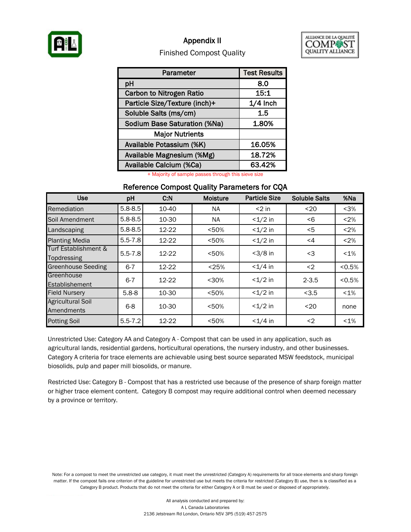

#### Appendix II



#### Finished Compost Quality

| <b>Parameter</b>                    | <b>Test Results</b> |
|-------------------------------------|---------------------|
| pH                                  | 8.0                 |
| <b>Carbon to Nitrogen Ratio</b>     | 15:1                |
| Particle Size/Texture (inch)+       | $1/4$ Inch          |
| Soluble Salts (ms/cm)               | 1.5                 |
| <b>Sodium Base Saturation (%Na)</b> | 1.80%               |
| <b>Major Nutrients</b>              |                     |
| Available Potassium (%K)            | 16.05%              |
| Available Magnesium (%Mg)           | 18.72%              |
| Available Calcium (%Ca)             | 63.42%              |

+ Majority of sample passes through this sieve size

#### Reference Compost Quality Parameters for CQA

| <b>Use</b>                             | pH          | C.N   | <b>Moisture</b> | <b>Particle Size</b> | <b>Soluble Salts</b> | %Na     |
|----------------------------------------|-------------|-------|-----------------|----------------------|----------------------|---------|
| Remediation                            | $5.8 - 8.5$ | 10-40 | NA.             | $<$ 2 in             | $20$                 | $3%$    |
| Soil Amendment                         | $5.8 - 8.5$ | 10-30 | <b>NA</b>       | $<1/2$ in            | < 6                  | < 2%    |
| Landscaping                            | $5.8 - 8.5$ | 12-22 | < 50%           | $<1/2$ in            | $<$ 5                | < 2%    |
| <b>Planting Media</b>                  | $5.5 - 7.8$ | 12-22 | < 50%           | $<1/2$ in            | $\leq 4$             | < 2%    |
| Turf Establishment &<br>Topdressing    | $5.5 - 7.8$ | 12-22 | < 50%           | $<3/8$ in            | <3                   | $< 1\%$ |
| <b>Greenhouse Seeding</b>              | $6 - 7$     | 12-22 | < 25%           | $< 1/4$ in           | $2$                  | < 0.5%  |
| Greenhouse<br>Establishement           | $6 - 7$     | 12-22 | $30%$           | $<1/2$ in            | $2 - 3.5$            | < 0.5%  |
| <b>Field Nursery</b>                   | $5.8 - 8$   | 10-30 | < 50%           | $<1/2$ in            | < 3.5                | $< 1\%$ |
| <b>Agricultural Soil</b><br>Amendments | $6 - 8$     | 10-30 | < 50%           | $<1/2$ in            | $20$                 | none    |
| <b>Potting Soil</b>                    | $5.5 - 7.2$ | 12-22 | < 50%           | $<1/4$ in            | $2$                  | $< 1\%$ |

Unrestricted Use: Category AA and Category A - Compost that can be used in any application, such as agricultural lands, residential gardens, horticultural operations, the nursery industry, and other businesses. Category A criteria for trace elements are achievable using best source separated MSW feedstock, municipal biosolids, pulp and paper mill biosolids, or manure.

Restricted Use: Category B - Compost that has a restricted use because of the presence of sharp foreign matter or higher trace element content. Category B compost may require additional control when deemed necessary by a province or territory.

Note: For a compost to meet the unrestricted use category, it must meet the unrestricted (Category A) requirements for all trace elements and sharp foreign matter. If the compost fails one criterion of the guideline for unrestricted use but meets the criteria for restricted (Category B) use, then is is classified as a Category B product. Products that do not meet the criteria for either Category A or B must be used or disposed of appropriately.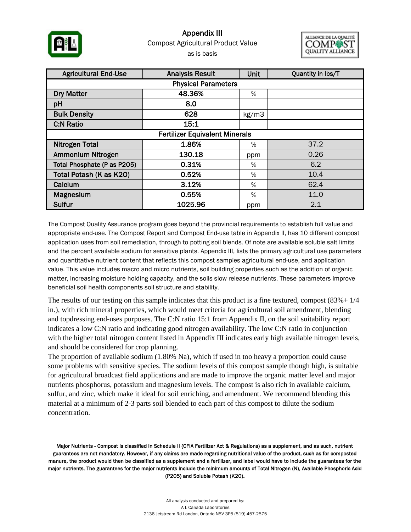

### Compost Agricultural Product Value as is basis Appendix III



| <b>Agricultural End-Use</b>           | <b>Analysis Result</b> | Unit  | Quantity in lbs/T |  |  |  |  |  |  |
|---------------------------------------|------------------------|-------|-------------------|--|--|--|--|--|--|
| <b>Physical Parameters</b>            |                        |       |                   |  |  |  |  |  |  |
| <b>Dry Matter</b>                     | 48.36%                 | %     |                   |  |  |  |  |  |  |
| pH                                    | 8.0                    |       |                   |  |  |  |  |  |  |
| <b>Bulk Density</b>                   | 628                    | kg/m3 |                   |  |  |  |  |  |  |
| <b>C:N Ratio</b>                      | 15:1                   |       |                   |  |  |  |  |  |  |
| <b>Fertilizer Equivalent Minerals</b> |                        |       |                   |  |  |  |  |  |  |
| <b>Nitrogen Total</b>                 | 1.86%                  | $\%$  | 37.2              |  |  |  |  |  |  |
| Ammonium Nitrogen                     | 130.18                 | ppm   | 0.26              |  |  |  |  |  |  |
| Total Phosphate (P as P205)           | 0.31%                  | %     | 6.2               |  |  |  |  |  |  |
| Total Potash (K as K20)               | 0.52%                  | %     | 10.4              |  |  |  |  |  |  |
| Calcium                               | 3.12%                  | %     | 62.4              |  |  |  |  |  |  |
| Magnesium                             | 0.55%                  | %     | 11.0              |  |  |  |  |  |  |
| Sulfur                                | 1025.96                | ppm   | 2.1               |  |  |  |  |  |  |

The Compost Quality Assurance program goes beyond the provincial requirements to establish full value and appropriate end-use. The Compost Report and Compost End-use table in Appendix II, has 10 different compost application uses from soil remediation, through to potting soil blends. Of note are available soluble salt limits and the percent available sodium for sensitive plants. Appendix III, lists the primary agricultural use parameters and quantitative nutrient content that reflects this compost samples agricultural end-use, and application value. This value includes macro and micro nutrients, soil building properties such as the addition of organic matter, increasing moisture holding capacity, and the soils slow release nutrients. These parameters improve beneficial soil health components soil structure and stability.

The results of our testing on this sample indicates that this product is a fine textured, compost  $(83\% + 1/4)$ in.), with rich mineral properties, which would meet criteria for agricultural soil amendment, blending and topdressing end-uses purposes. The C:N ratio 15:1 from Appendix II, on the soil suitability report indicates a low C:N ratio and indicating good nitrogen availability. The low C:N ratio in conjunction with the higher total nitrogen content listed in Appendix III indicates early high available nitrogen levels, and should be considered for crop planning.

The proportion of available sodium (1.80% Na), which if used in too heavy a proportion could cause some problems with sensitive species. The sodium levels of this compost sample though high, is suitable for agricultural broadcast field applications and are made to improve the organic matter level and major nutrients phosphorus, potassium and magnesium levels. The compost is also rich in available calcium, sulfur, and zinc, which make it ideal for soil enriching, and amendment. We recommend blending this material at a minimum of 2-3 parts soil blended to each part of this compost to dilute the sodium concentration.

Major Nutrients - Compost is classified in Schedule II (CFIA Fertilizer Act & Regulations) as a supplement, and as such, nutrient guarantees are not mandatory. However, if any claims are made regarding nutritional value of the product, such as for composted manure, the product would then be classified as a supplement and a fertilizer, and label would have to include the guarantees for the major nutrients. The guarantees for the major nutrients include the minimum amounts of Total Nitrogen (N), Available Phosphoric Acid (P2O5) and Soluble Potash (K2O).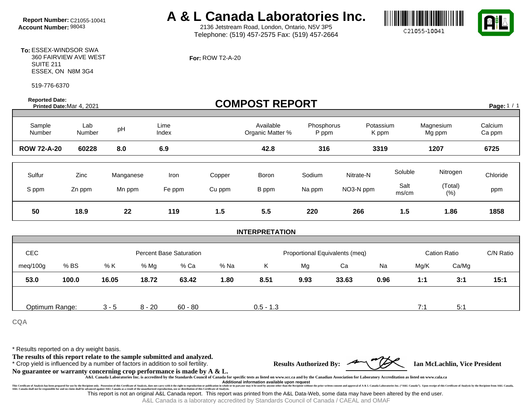# **Report Number:** C21055-10041 **A & L Canada Laboratories Inc.**<br>Account Number: 98043 **A & L** 2136 Jetstream Road, London, Ontario, N5V 3P5

2136 Jetstream Road, London, Ontario, N5V 3P5 Telephone: (519) 457-2575 Fax: (519) 457-2664





**To:** ESSEX-WINDSOR SWA 360 FAIRVIEW AVE WEST SUITE 211 ESSEX, ON N8M 3G4

519-776-6370

**For:** ROW T2-A-20

| <b>Reported Date:</b> | Printed Date: Mar 4, 2021 |           |                                |        | <b>COMPOST REPORT</b>         |                                |           |                    |                     | Page: 1 / 1       |
|-----------------------|---------------------------|-----------|--------------------------------|--------|-------------------------------|--------------------------------|-----------|--------------------|---------------------|-------------------|
| Sample<br>Number      | Lab<br>Number             | pH        | Lime<br>Index                  |        | Available<br>Organic Matter % | Phosphorus<br>P ppm            |           | Potassium<br>K ppm | Magnesium<br>Mg ppm | Calcium<br>Ca ppm |
| <b>ROW 72-A-20</b>    | 60228                     | 8.0       | 6.9                            |        | 42.8                          | 316                            |           | 3319               | 1207                | 6725              |
| Sulfur                | Zinc                      | Manganese | Iron                           | Copper | Boron                         | Sodium                         | Nitrate-N | Soluble            | Nitrogen            | Chloride          |
| S ppm                 | Zn ppm                    | Mn ppm    | Fe ppm                         | Cu ppm | B ppm                         | Na ppm                         | NO3-N ppm | Salt<br>ms/cm      | (Total)<br>(% )     | ppm               |
| 50                    | 18.9                      | 22        | 119                            | 1.5    | 5.5                           | 220                            | 266       | 1.5                | 1.86                | 1858              |
|                       |                           |           |                                |        | <b>INTERPRETATION</b>         |                                |           |                    |                     |                   |
|                       |                           |           |                                |        |                               |                                |           |                    |                     |                   |
| <b>CEC</b>            |                           |           | <b>Percent Base Saturation</b> |        |                               | Proportional Equivalents (meq) |           |                    | <b>Cation Ratio</b> | C/N Ratio         |
| meg/100g              | % BS                      | % K       | % Ca<br>% Mg                   | % Na   | K.                            | Mg                             | Ca        | Na                 | Ca/Mg<br>Mg/K       |                   |
| 53.0                  | 100.0                     | 16.05     | 18.72<br>63.42                 | 1.80   | 8.51                          | 9.93                           | 33.63     | 0.96               | 1:1<br>3:1          | 15:1              |
|                       |                           |           |                                |        |                               |                                |           |                    |                     |                   |

**CQA**

\* Results reported on a dry weight basis.

**The results of this report relate to the sample submitted and analyzed.** 

\* Crop yield is influenced by a number of factors in addition to soil fertility. **Results Authorized By: Ian McLachlin, Vice President**

**No guarantee or warranty concerning crop performance is made by A & L.**

**A&L Canada Laboratories Inc. is accredited by the Standards Council of Canada for specific tests as listed on www.scc.ca and by the Canadian Association for Laboratory Accreditation as listed on www.cala.ca**

whit the right to reproduction or publication a publication and **information available upon request** and approved of A & L Canada Laboratories Inc. ("A&L Canada"). Upon receipt of this Certificate of Analysis by the Recipi This Certificate of Annusian benefor the Substituted in the Substitute of the Certificate of Indivist, does not carry with the right to report content of the main there is to expect any with the right of the main the right

Optimum Range:  $3 - 5$  8 - 20 60 - 80 0.5 - 1.3 0.5 - 1.3 7:1 5:1 5:1

This report is not an original A&L Canada report. This report was printed from the A&L Data-Web, some data may have been altered by the end user.

A&L Canada is a laboratory accredited by Standards Council of Canada / CAEAL and OMAF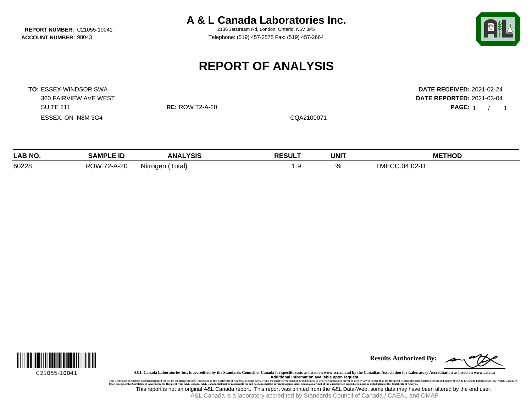**A & L Canada Laboratories Inc.**

**REPORT NUMBER:** C21055-10041 2136 Jetstream Rd, London, Ontario, N5V 3P5 **ACCOUNT NUMBER:** 98043 Telephone: (519) 457-2575 Fax: (519) 457-2664



PAGE: 1 / 1

# **REPORT OF ANALYSIS**

**TO:** ESSEX-WINDSOR SWA **DATE RECEIVED:** 2021-02-24 360 FAIRVIEW AVE WEST **DATE REPORTED:** 2021-03-04 SUITE 211 **RE:** ROW T2-A-20 **PAGE:** 1 / ESSEX, ON N8M 3G4 CQA2100071

| <b>LAB NO</b> | LE ID<br>'AMPم                             | <b>ANALYSIS</b>    | <b>RESULT</b> | <b>UNIT</b> | THOD<br><b>ME</b> |
|---------------|--------------------------------------------|--------------------|---------------|-------------|-------------------|
| 60228         | '2-A-20<br>२ow<br>$\overline{\phantom{a}}$ | ˈotal)<br>Nitrogen | .             | n/<br>70    | $\sim$<br>04      |



**Results Authorized By:**

**A&L Canada Laboratories Inc. is accredited by the Standards Council of Canada for specific tests as listed on www.scc.ca and by the Canadian Association for Laboratory Accreditation as listed on www.cala.ca**

This Certificate of Analysis has been prepared for use by the Recipient only. Possession of this Certificate of Analysis, does not carry with ithe right to republication available upon request<br>Upon receipt of this Certific This report is not an original A&L Canada report. This report was printed from the A&L Data-Web, some data may have been altered by the end user.

A&L Canada is a laboratory accredited by Standards Council of Canada / CAEAL and OMAF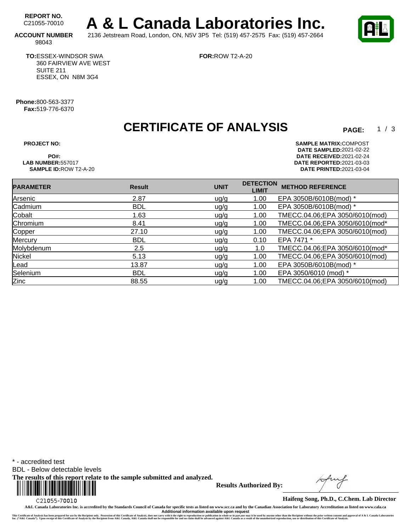REPORT NO.<br>C21055-70010 A & L Canada Laboratories Inc. **ACCOUNT NUMBER** 2136 Jetstream Road, London, ON, N5V 3P5 Tel: (519) 457-2575 Fax: (519) 457-2664

**FOR:**ROW T2-A-20



 $1/3$ 

### 98043

**TO:**ESSEX-WINDSOR SWA

360 FAIRVIEW AVE WEST SUITE 211 ESSEX, ON N8M 3G4

**Phone:**800-563-3377 **Fax:**519-776-6370

# **CERTIFICATE OF ANALYSIS**

**PROJECT NO: SAMPLE MATRIX:** COMPOST **DATE SAMPLED:** 2021-02-22 **PO#: DATE RECEIVED:**2021-02-24 **LAB NUMBER:**557017 **DATE REPORTED:**2021-03-03 **SAMPLE ID:**ROW T2-A-20 **DATE PRINTED:**2021-03-04

| <b>PARAMETER</b> | <b>Result</b> | <b>UNIT</b> | <b>DETECTION</b><br><b>LIMIT</b> | <b>METHOD REFERENCE</b>        |
|------------------|---------------|-------------|----------------------------------|--------------------------------|
| Arsenic          | 2.87          | ug/g        | 1.00                             | EPA 3050B/6010B(mod) *         |
| Cadmium          | <b>BDL</b>    | ug/g        | 1.00                             | EPA 3050B/6010B(mod) *         |
| Cobalt           | 1.63          | ug/g        | 1.00                             | TMECC.04.06;EPA 3050/6010(mod) |
| Chromium         | 8.41          | ug/g        | 1.00                             | TMECC.04.06;EPA 3050/6010(mod* |
| Copper           | 27.10         | u g/g       | 1.00                             | TMECC.04.06;EPA 3050/6010(mod) |
| Mercury          | <b>BDL</b>    | u g/g       | 0.10                             | EPA 7471 *                     |
| Molybdenum       | 2.5           | u g/g       | 1.0                              | TMECC.04.06;EPA 3050/6010(mod* |
| Nickel           | 5.13          | ug/g        | 1.00                             | TMECC.04.06;EPA 3050/6010(mod) |
| Lead             | 13.87         | u g/g       | 1.00                             | EPA 3050B/6010B(mod) *         |
| Selenium         | <b>BDL</b>    | u g/g       | 1.00                             | EPA 3050/6010 (mod) *          |
| Zinc             | 88.55         | u g/g       | 1.00                             | TMECC.04.06;EPA 3050/6010(mod) |

\* - accredited test

BDL - Below detectable levels

**The results of this report relate to the sample submitted and analyzed.** 



**Results Authorized By:**

**Haifeng Song, Ph.D., C.Chem. Lab Director**

**A&L Canada Laboratories Inc. is accredited by the Standards Council of Canada for specific tests as listed on www.scc.ca and by the Canadian Association for Laboratory Accreditation as listed on www.cala.ca**

Additional information available upon request<br>This Certificate of Analysis has been prepared for use by the Recipient only. Possession of this Certificate of Analysis, does not carry with the right to reproduction or publi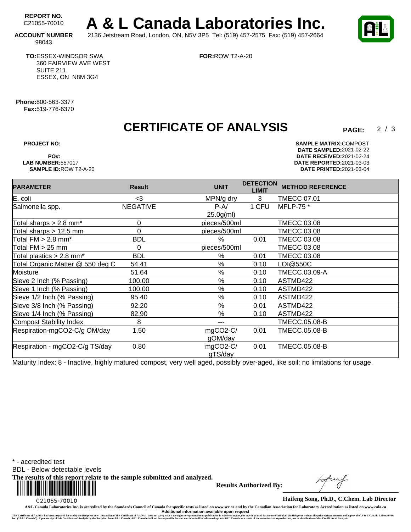REPORT NO.<br>C21055-70010 A & L Canada Laboratories Inc. **ACCOUNT NUMBER** 2136 Jetstream Road, London, ON, N5V 3P5 Tel: (519) 457-2575 Fax: (519) 457-2664

**FOR:**ROW T2-A-20

 $2/3$ 

98043

**TO:**ESSEX-WINDSOR SWA 360 FAIRVIEW AVE WEST SUITE 211 ESSEX, ON N8M 3G4

**Phone:**800-563-3377 **Fax:**519-776-6370

# **CERTIFICATE OF ANALYSIS**

**PARAMETER Result UNIT DETECTION**

**PROJECT NO: SAMPLE MATRIX:** COMPOST **DATE SAMPLED:** 2021-02-22 **PO#: DATE RECEIVED:**2021-02-24 **LAB NUMBER:**557017 **DATE REPORTED:**2021-03-03 **SAMPLE ID:**ROW T2-A-20 **DATE PRINTED:**2021-03-04

**LIMIT METHOD REFERENCE** 

| E. coli                                | -3              | MPN/g dry     | 3     | TMECC 07.01        |
|----------------------------------------|-----------------|---------------|-------|--------------------|
| Salmonella spp.                        | <b>NEGATIVE</b> | $P-A/$        | 1 CFU | MFLP-75 *          |
|                                        |                 | $25.0g$ (ml)  |       |                    |
| Total sharps $> 2.8$ mm <sup>*</sup>   | 0               | pieces/500ml  |       | <b>TMECC 03.08</b> |
| Total sharps > 12.5 mm                 | 0               | pieces/500ml  |       | <b>TMECC 03.08</b> |
| Total $FM > 2.8$ mm <sup>*</sup>       | <b>BDL</b>      | %             | 0.01  | TMECC 03.08        |
| Total FM > 25 mm                       | $\Omega$        | pieces/500ml  |       | <b>TMECC 03.08</b> |
| Total plastics $> 2.8$ mm <sup>*</sup> | <b>BDL</b>      | %             | 0.01  | TMECC 03.08        |
| Total Organic Matter @ 550 deg C       | 54.41           | $\%$          | 0.10  | LOI@550C           |
| Moisture                               | 51.64           | %             | 0.10  | TMECC.03.09-A      |
| Sieve 2 Inch (% Passing)               | 100.00          | %             | 0.10  | ASTMD422           |
| Sieve 1 Inch (% Passing)               | 100.00          | $\%$          | 0.10  | ASTMD422           |
| Sieve 1/2 Inch (% Passing)             | 95.40           | $\frac{0}{0}$ | 0.10  | ASTMD422           |
| Sieve 3/8 Inch (% Passing)             | 92.20           | %             | 0.01  | ASTMD422           |
| Sieve 1/4 Inch (% Passing)             | 82.90           | $\%$          | 0.10  | ASTMD422           |
| <b>Compost Stability Index</b>         | 8               |               |       | TMECC.05.08-B      |
| Respiration-mgCO2-C/g OM/day           | 1.50            | mgCO2-C/      | 0.01  | TMECC.05.08-B      |
|                                        |                 | gOM/day       |       |                    |
| Respiration - mgCO2-C/g TS/day         | 0.80            | mgCO2-C/      | 0.01  | TMECC.05.08-B      |
|                                        |                 | gTS/day       |       |                    |

Maturity Index: 8 - Inactive, highly matured compost, very well aged, possibly over-aged, like soil; no limitations for usage.

\* - accredited test

BDL - Below detectable levels

**The results of this report relate to the sample submitted and analyzed.** 



**Results Authorized By:**

**Haifeng Song, Ph.D., C.Chem. Lab Director**

**A&L Canada Laboratories Inc. is accredited by the Standards Council of Canada for specific tests as listed on www.scc.ca and by the Canadian Association for Laboratory Accreditation as listed on www.cala.ca** Additional information available upon request<br>This Certificate of Analysis has been prepared for use by the Recipient only. Possession of this Certificate of Analysis, does not carry with the right to reproduction or publi